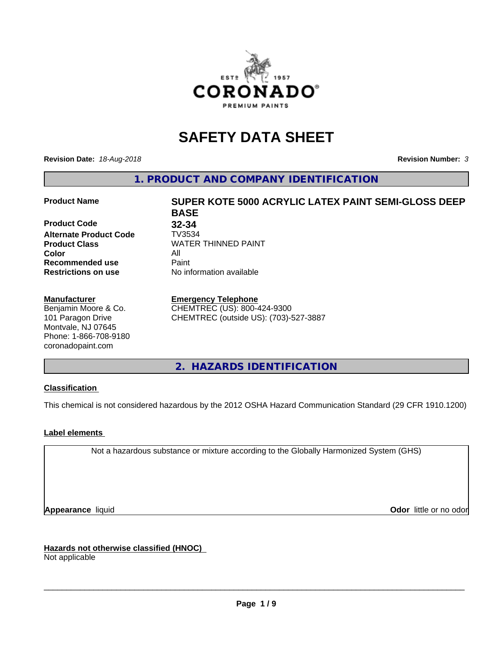

# **SAFETY DATA SHEET**

**Revision Date:** *18-Aug-2018* **Revision Number:** *3*

**1. PRODUCT AND COMPANY IDENTIFICATION**

### **Product Name SUPER KOTE 5000 ACRYLIC LATEX PAINT SEMI-GLOSS DEEP**

**Product Code 32-34**<br>**Alternate Product Code 7V3534 Alternate Product Code Color** All **Recommended use** Paint<br> **Restrictions on use** Mo information available **Restrictions on use** 

#### **Manufacturer**

Benjamin Moore & Co. 101 Paragon Drive Montvale, NJ 07645 Phone: 1-866-708-9180 coronadopaint.com

**BASE Product Class** WATER THINNED PAINT<br>
Color

#### **Emergency Telephone**

CHEMTREC (US): 800-424-9300 CHEMTREC (outside US): (703)-527-3887

**2. HAZARDS IDENTIFICATION**

## **Classification**

This chemical is not considered hazardous by the 2012 OSHA Hazard Communication Standard (29 CFR 1910.1200)

## **Label elements**

Not a hazardous substance or mixture according to the Globally Harmonized System (GHS)

**Appearance** liquid **Contract Contract Contract Contract Contract Contract Contract Contract Contract Contract Contract Contract Contract Contract Contract Contract Contract Contract Contract Contract Contract Contract Con** 

**Hazards not otherwise classified (HNOC)**

Not applicable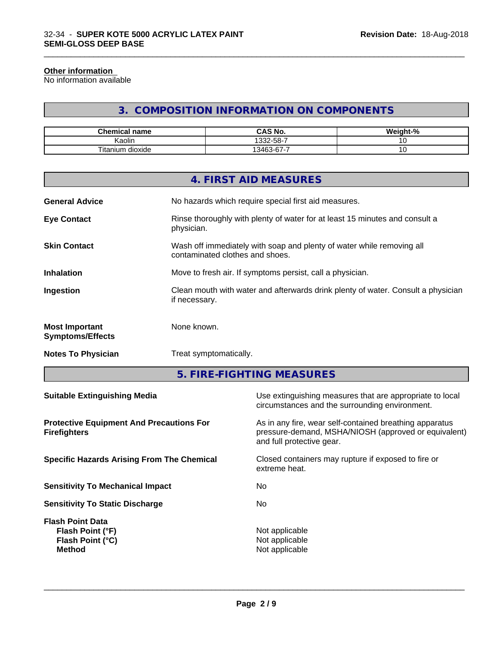#### **Other information**

No information available

## **3. COMPOSITION INFORMATION ON COMPONENTS**

\_\_\_\_\_\_\_\_\_\_\_\_\_\_\_\_\_\_\_\_\_\_\_\_\_\_\_\_\_\_\_\_\_\_\_\_\_\_\_\_\_\_\_\_\_\_\_\_\_\_\_\_\_\_\_\_\_\_\_\_\_\_\_\_\_\_\_\_\_\_\_\_\_\_\_\_\_\_\_\_\_\_\_\_\_\_\_\_\_\_\_\_\_

| Chemical<br>⊟name              | <b>CAS No.</b>                                          | <br>$\sim$<br>'70 |
|--------------------------------|---------------------------------------------------------|-------------------|
| . .<br>. .<br>Kaolin           | $.32 - 58 - 7$                                          |                   |
| Titaniu.<br><br>dioxide<br>um. | $\overline{\phantom{a}}$<br>$\sim$<br>0.100<br>346<br>v | ~                 |

|                                                  | 4. FIRST AID MEASURES                                                                                    |
|--------------------------------------------------|----------------------------------------------------------------------------------------------------------|
| <b>General Advice</b>                            | No hazards which require special first aid measures.                                                     |
| <b>Eye Contact</b>                               | Rinse thoroughly with plenty of water for at least 15 minutes and consult a<br>physician.                |
| <b>Skin Contact</b>                              | Wash off immediately with soap and plenty of water while removing all<br>contaminated clothes and shoes. |
| <b>Inhalation</b>                                | Move to fresh air. If symptoms persist, call a physician.                                                |
| Ingestion                                        | Clean mouth with water and afterwards drink plenty of water. Consult a physician<br>if necessary.        |
| <b>Most Important</b><br><b>Symptoms/Effects</b> | None known.                                                                                              |
| <b>Notes To Physician</b>                        | Treat symptomatically.                                                                                   |
|                                                  |                                                                                                          |

**5. FIRE-FIGHTING MEASURES**

| <b>Suitable Extinguishing Media</b>                                              | Use extinguishing measures that are appropriate to local<br>circumstances and the surrounding environment.                                   |
|----------------------------------------------------------------------------------|----------------------------------------------------------------------------------------------------------------------------------------------|
| <b>Protective Equipment And Precautions For</b><br><b>Firefighters</b>           | As in any fire, wear self-contained breathing apparatus<br>pressure-demand, MSHA/NIOSH (approved or equivalent)<br>and full protective gear. |
| <b>Specific Hazards Arising From The Chemical</b>                                | Closed containers may rupture if exposed to fire or<br>extreme heat.                                                                         |
| <b>Sensitivity To Mechanical Impact</b>                                          | No                                                                                                                                           |
| <b>Sensitivity To Static Discharge</b>                                           | No.                                                                                                                                          |
| <b>Flash Point Data</b><br>Flash Point (°F)<br>Flash Point (°C)<br><b>Method</b> | Not applicable<br>Not applicable<br>Not applicable                                                                                           |
|                                                                                  |                                                                                                                                              |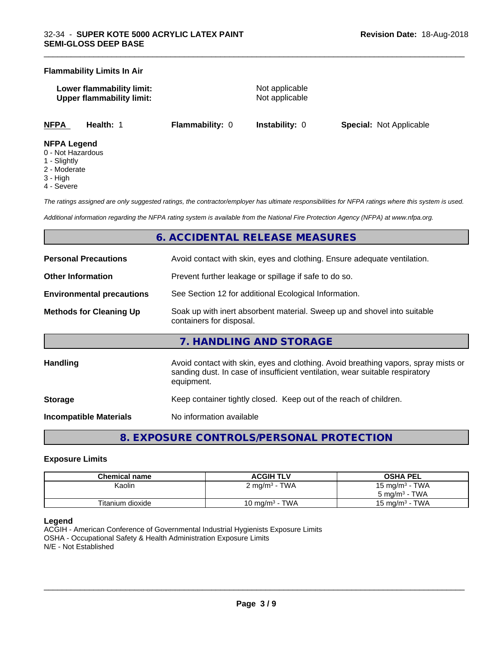#### **Flammability Limits In Air**

**Lower flammability limit:** Not applicable **Upper flammability limit:** Not applicable

\_\_\_\_\_\_\_\_\_\_\_\_\_\_\_\_\_\_\_\_\_\_\_\_\_\_\_\_\_\_\_\_\_\_\_\_\_\_\_\_\_\_\_\_\_\_\_\_\_\_\_\_\_\_\_\_\_\_\_\_\_\_\_\_\_\_\_\_\_\_\_\_\_\_\_\_\_\_\_\_\_\_\_\_\_\_\_\_\_\_\_\_\_

**NFPA Health:** 1 **Flammability:** 0 **Instability:** 0 **Special:** Not Applicable

#### **NFPA Legend**

- 0 Not Hazardous
- 1 Slightly
- 2 Moderate
- 3 High
- 4 Severe

*The ratings assigned are only suggested ratings, the contractor/employer has ultimate responsibilities for NFPA ratings where this system is used.*

*Additional information regarding the NFPA rating system is available from the National Fire Protection Agency (NFPA) at www.nfpa.org.*

## **6. ACCIDENTAL RELEASE MEASURES**

| <b>Personal Precautions</b>      | Avoid contact with skin, eyes and clothing. Ensure adequate ventilation.                                                                                                         |  |  |
|----------------------------------|----------------------------------------------------------------------------------------------------------------------------------------------------------------------------------|--|--|
| <b>Other Information</b>         | Prevent further leakage or spillage if safe to do so.                                                                                                                            |  |  |
| <b>Environmental precautions</b> | See Section 12 for additional Ecological Information.                                                                                                                            |  |  |
| <b>Methods for Cleaning Up</b>   | Soak up with inert absorbent material. Sweep up and shovel into suitable<br>containers for disposal.                                                                             |  |  |
|                                  | 7. HANDLING AND STORAGE                                                                                                                                                          |  |  |
| <b>Handling</b>                  | Avoid contact with skin, eyes and clothing. Avoid breathing vapors, spray mists or<br>sanding dust. In case of insufficient ventilation, wear suitable respiratory<br>equipment. |  |  |
| <b>Storage</b>                   | Keep container tightly closed. Keep out of the reach of children.                                                                                                                |  |  |
| Incompatible Materials           | No information available                                                                                                                                                         |  |  |

**8. EXPOSURE CONTROLS/PERSONAL PROTECTION**

#### **Exposure Limits**

| Chemical name    | <b>ACGIH TLV</b>         | <b>OSHA PEL</b>   |
|------------------|--------------------------|-------------------|
| Kaolin           | $2 \text{ mg/m}^3$ - TWA | 15 mg/m $3$ - TWA |
|                  |                          | 5 mg/m $3$ - TWA  |
| Titanium dioxide | 10 mg/m $3$ - TWA        | 15 mg/m $3$ - TWA |

#### **Legend**

ACGIH - American Conference of Governmental Industrial Hygienists Exposure Limits OSHA - Occupational Safety & Health Administration Exposure Limits N/E - Not Established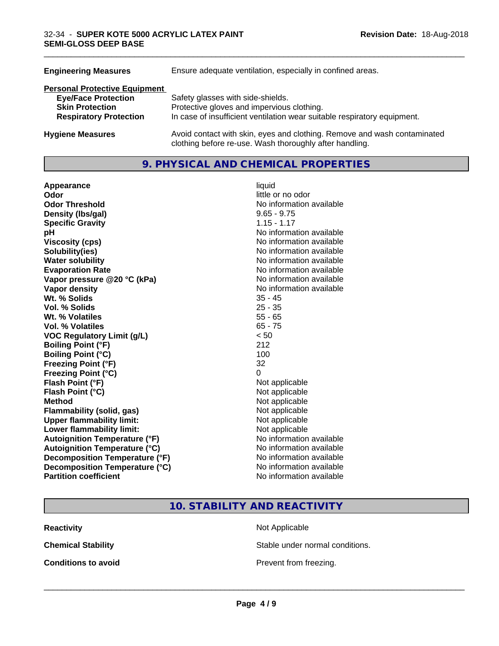| <b>Engineering Measures</b>          | Ensure adequate ventilation, especially in confined areas.                                                                          |
|--------------------------------------|-------------------------------------------------------------------------------------------------------------------------------------|
| <b>Personal Protective Equipment</b> |                                                                                                                                     |
| <b>Eye/Face Protection</b>           | Safety glasses with side-shields.                                                                                                   |
| <b>Skin Protection</b>               | Protective gloves and impervious clothing.                                                                                          |
| <b>Respiratory Protection</b>        | In case of insufficient ventilation wear suitable respiratory equipment.                                                            |
| <b>Hygiene Measures</b>              | Avoid contact with skin, eyes and clothing. Remove and wash contaminated<br>clothing before re-use. Wash thoroughly after handling. |

## **9. PHYSICAL AND CHEMICAL PROPERTIES**

**Appearance** liquid **Odor** little or no odor **Odor Threshold No information available No information available Density (Ibs/gal)** 9.65 - 9.75 **Specific Gravity** 1.15 - 1.17 **pH** No information available **Viscosity (cps)**<br> **Viscosity (cps)**<br> **Solubility(ies)**<br> **Solubility(ies)**<br> **No** information available **Water solubility**<br> **Evaporation Rate**<br> **Evaporation Rate**<br> **Evaporation Rate Vapor** pressure @20 °C (kPa) **Vapor density No information available No information available Wt. % Solids** 35 - 45 **Vol. % Solids** 25 - 35 **Wt. % Volatiles** 55 - 65 **Vol. % Volatiles** 65 - 75 **VOC Regulatory Limit (g/L)** < 50 **Boiling Point (°F)** 212 **Boiling Point (°C) Freezing Point (°F)** 32 **Freezing Point (°C)** 0 **Flash Point (°F)** Not applicable **Flash Point (°C)** Not applicable **Method**<br> **Flammability (solid, gas)**<br> **Commability (solid, gas)**<br>
Mot applicable **Flammability** (solid, gas) **Upper flammability limit:** Not applicable **Lower flammability limit:** Not applicable **Autoignition Temperature (°F)** No information available **Autoignition Temperature (°C)** No information available **Decomposition Temperature (°F)** No information available **Decomposition Temperature (°C)** No information available **Partition coefficient** No information available

**Solubility(ies)** No information available No information available<br>No information available

\_\_\_\_\_\_\_\_\_\_\_\_\_\_\_\_\_\_\_\_\_\_\_\_\_\_\_\_\_\_\_\_\_\_\_\_\_\_\_\_\_\_\_\_\_\_\_\_\_\_\_\_\_\_\_\_\_\_\_\_\_\_\_\_\_\_\_\_\_\_\_\_\_\_\_\_\_\_\_\_\_\_\_\_\_\_\_\_\_\_\_\_\_

**10. STABILITY AND REACTIVITY**

**Reactivity Not Applicable Not Applicable** 

**Chemical Stability Stable under normal conditions.** 

**Conditions to avoid Conditions to avoid Prevent from freezing.**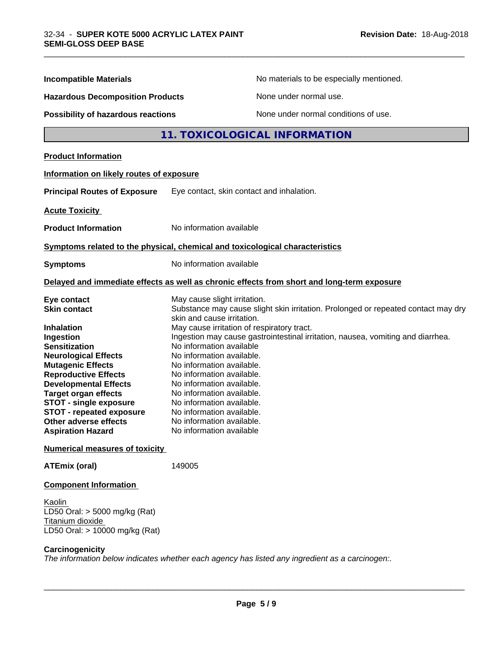| <b>Incompatible Materials</b>                                                                                                                                                                                                                                                                                                                                                                                                  |                                                                                                                                                                                                                                                                                                                                                                                                          | No materials to be especially mentioned.                                                                                                                             |  |
|--------------------------------------------------------------------------------------------------------------------------------------------------------------------------------------------------------------------------------------------------------------------------------------------------------------------------------------------------------------------------------------------------------------------------------|----------------------------------------------------------------------------------------------------------------------------------------------------------------------------------------------------------------------------------------------------------------------------------------------------------------------------------------------------------------------------------------------------------|----------------------------------------------------------------------------------------------------------------------------------------------------------------------|--|
| <b>Hazardous Decomposition Products</b><br>Possibility of hazardous reactions                                                                                                                                                                                                                                                                                                                                                  |                                                                                                                                                                                                                                                                                                                                                                                                          | None under normal use.                                                                                                                                               |  |
|                                                                                                                                                                                                                                                                                                                                                                                                                                |                                                                                                                                                                                                                                                                                                                                                                                                          | None under normal conditions of use.                                                                                                                                 |  |
|                                                                                                                                                                                                                                                                                                                                                                                                                                |                                                                                                                                                                                                                                                                                                                                                                                                          | 11. TOXICOLOGICAL INFORMATION                                                                                                                                        |  |
| <b>Product Information</b>                                                                                                                                                                                                                                                                                                                                                                                                     |                                                                                                                                                                                                                                                                                                                                                                                                          |                                                                                                                                                                      |  |
| Information on likely routes of exposure                                                                                                                                                                                                                                                                                                                                                                                       |                                                                                                                                                                                                                                                                                                                                                                                                          |                                                                                                                                                                      |  |
| <b>Principal Routes of Exposure</b>                                                                                                                                                                                                                                                                                                                                                                                            | Eye contact, skin contact and inhalation.                                                                                                                                                                                                                                                                                                                                                                |                                                                                                                                                                      |  |
| <b>Acute Toxicity</b>                                                                                                                                                                                                                                                                                                                                                                                                          |                                                                                                                                                                                                                                                                                                                                                                                                          |                                                                                                                                                                      |  |
| <b>Product Information</b>                                                                                                                                                                                                                                                                                                                                                                                                     | No information available                                                                                                                                                                                                                                                                                                                                                                                 |                                                                                                                                                                      |  |
| Symptoms related to the physical, chemical and toxicological characteristics                                                                                                                                                                                                                                                                                                                                                   |                                                                                                                                                                                                                                                                                                                                                                                                          |                                                                                                                                                                      |  |
| <b>Symptoms</b>                                                                                                                                                                                                                                                                                                                                                                                                                | No information available                                                                                                                                                                                                                                                                                                                                                                                 |                                                                                                                                                                      |  |
|                                                                                                                                                                                                                                                                                                                                                                                                                                |                                                                                                                                                                                                                                                                                                                                                                                                          | Delayed and immediate effects as well as chronic effects from short and long-term exposure                                                                           |  |
| Eye contact<br><b>Skin contact</b><br><b>Inhalation</b><br>Ingestion<br><b>Sensitization</b><br><b>Neurological Effects</b><br><b>Mutagenic Effects</b><br><b>Reproductive Effects</b><br><b>Developmental Effects</b><br><b>Target organ effects</b><br><b>STOT - single exposure</b><br><b>STOT - repeated exposure</b><br><b>Other adverse effects</b><br><b>Aspiration Hazard</b><br><b>Numerical measures of toxicity</b> | May cause slight irritation.<br>skin and cause irritation.<br>May cause irritation of respiratory tract.<br>No information available<br>No information available.<br>No information available.<br>No information available.<br>No information available.<br>No information available.<br>No information available.<br>No information available.<br>No information available.<br>No information available | Substance may cause slight skin irritation. Prolonged or repeated contact may dry<br>Ingestion may cause gastrointestinal irritation, nausea, vomiting and diarrhea. |  |
| <b>ATEmix (oral)</b>                                                                                                                                                                                                                                                                                                                                                                                                           | 149005                                                                                                                                                                                                                                                                                                                                                                                                   |                                                                                                                                                                      |  |
| <b>Component Information</b>                                                                                                                                                                                                                                                                                                                                                                                                   |                                                                                                                                                                                                                                                                                                                                                                                                          |                                                                                                                                                                      |  |
| Kaolin<br>LD50 Oral: $>$ 5000 mg/kg (Rat)<br>Titanium dioxide<br>LD50 Oral: > 10000 mg/kg (Rat)                                                                                                                                                                                                                                                                                                                                |                                                                                                                                                                                                                                                                                                                                                                                                          |                                                                                                                                                                      |  |
| Carcinogenicity                                                                                                                                                                                                                                                                                                                                                                                                                |                                                                                                                                                                                                                                                                                                                                                                                                          |                                                                                                                                                                      |  |

\_\_\_\_\_\_\_\_\_\_\_\_\_\_\_\_\_\_\_\_\_\_\_\_\_\_\_\_\_\_\_\_\_\_\_\_\_\_\_\_\_\_\_\_\_\_\_\_\_\_\_\_\_\_\_\_\_\_\_\_\_\_\_\_\_\_\_\_\_\_\_\_\_\_\_\_\_\_\_\_\_\_\_\_\_\_\_\_\_\_\_\_\_

*The information below indicateswhether each agency has listed any ingredient as a carcinogen:.*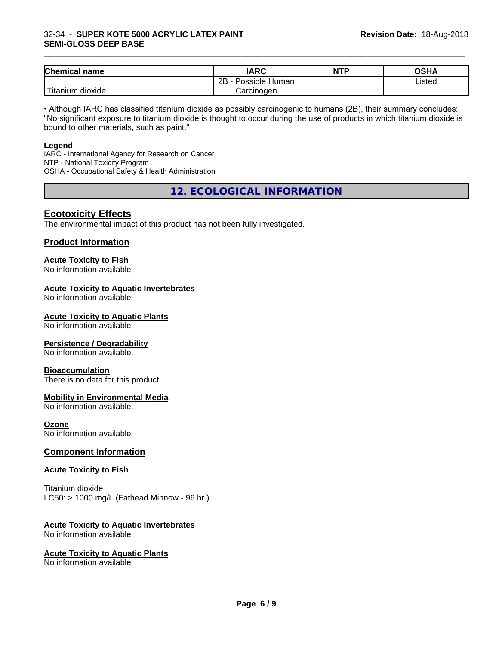### 32-34 - **SUPER KOTE 5000 ACRYLIC LATEX PAINT SEMI-GLOSS DEEP BASE**

| <b>Chemical</b><br>name           | <b>IARC</b>          | <b>NTP</b> | ດເ⊔∧<br>∪אח |
|-----------------------------------|----------------------|------------|-------------|
|                                   | Possible Human<br>2B |            | Listed      |
| $-1$<br>dioxide<br><b>itanium</b> | Carcinogen           |            |             |

\_\_\_\_\_\_\_\_\_\_\_\_\_\_\_\_\_\_\_\_\_\_\_\_\_\_\_\_\_\_\_\_\_\_\_\_\_\_\_\_\_\_\_\_\_\_\_\_\_\_\_\_\_\_\_\_\_\_\_\_\_\_\_\_\_\_\_\_\_\_\_\_\_\_\_\_\_\_\_\_\_\_\_\_\_\_\_\_\_\_\_\_\_

• Although IARC has classified titanium dioxide as possibly carcinogenic to humans (2B), their summary concludes: "No significant exposure to titanium dioxide is thought to occur during the use of products in which titanium dioxide is bound to other materials, such as paint."

#### **Legend**

IARC - International Agency for Research on Cancer NTP - National Toxicity Program OSHA - Occupational Safety & Health Administration

**12. ECOLOGICAL INFORMATION**

## **Ecotoxicity Effects**

The environmental impact of this product has not been fully investigated.

## **Product Information**

## **Acute Toxicity to Fish**

No information available

### **Acute Toxicity to Aquatic Invertebrates**

No information available

### **Acute Toxicity to Aquatic Plants**

No information available

## **Persistence / Degradability**

No information available.

#### **Bioaccumulation**

There is no data for this product.

## **Mobility in Environmental Media**

No information available.

#### **Ozone**

No information available

## **Component Information**

#### **Acute Toxicity to Fish**

Titanium dioxide  $LC50:$  > 1000 mg/L (Fathead Minnow - 96 hr.)

## **Acute Toxicity to Aquatic Invertebrates**

No information available

#### **Acute Toxicity to Aquatic Plants**

No information available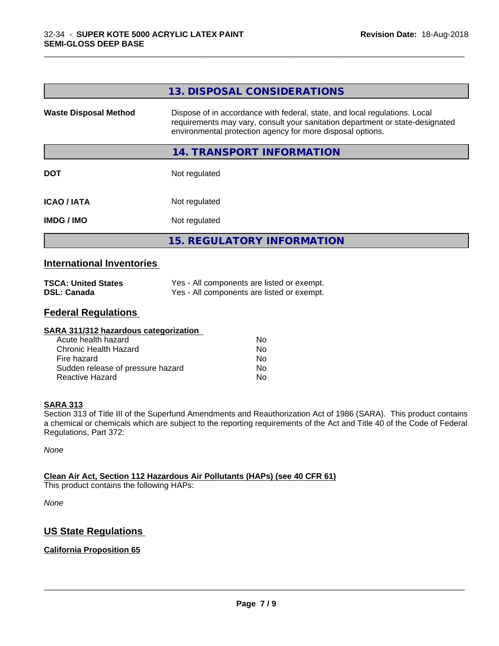|                              | 13. DISPOSAL CONSIDERATIONS                                                                                                                                                                                               |
|------------------------------|---------------------------------------------------------------------------------------------------------------------------------------------------------------------------------------------------------------------------|
| <b>Waste Disposal Method</b> | Dispose of in accordance with federal, state, and local regulations. Local<br>requirements may vary, consult your sanitation department or state-designated<br>environmental protection agency for more disposal options. |
|                              | 14. TRANSPORT INFORMATION                                                                                                                                                                                                 |
| <b>DOT</b>                   | Not regulated                                                                                                                                                                                                             |
| <b>ICAO / IATA</b>           | Not regulated                                                                                                                                                                                                             |
| <b>IMDG / IMO</b>            | Not regulated                                                                                                                                                                                                             |
|                              | <b>15. REGULATORY INFORMATION</b>                                                                                                                                                                                         |

\_\_\_\_\_\_\_\_\_\_\_\_\_\_\_\_\_\_\_\_\_\_\_\_\_\_\_\_\_\_\_\_\_\_\_\_\_\_\_\_\_\_\_\_\_\_\_\_\_\_\_\_\_\_\_\_\_\_\_\_\_\_\_\_\_\_\_\_\_\_\_\_\_\_\_\_\_\_\_\_\_\_\_\_\_\_\_\_\_\_\_\_\_

## **International Inventories**

| <b>TSCA: United States</b> | Yes - All components are listed or exempt. |
|----------------------------|--------------------------------------------|
| <b>DSL: Canada</b>         | Yes - All components are listed or exempt. |

## **Federal Regulations**

| SARA 311/312 hazardous categorization |    |  |
|---------------------------------------|----|--|
| Acute health hazard                   | Nο |  |
| Chronic Health Hazard                 | No |  |
| Fire hazard                           | No |  |
| Sudden release of pressure hazard     | No |  |
| Reactive Hazard                       | No |  |

#### **SARA 313**

Section 313 of Title III of the Superfund Amendments and Reauthorization Act of 1986 (SARA). This product contains a chemical or chemicals which are subject to the reporting requirements of the Act and Title 40 of the Code of Federal Regulations, Part 372:

*None*

## **Clean Air Act,Section 112 Hazardous Air Pollutants (HAPs) (see 40 CFR 61)**

This product contains the following HAPs:

*None*

## **US State Regulations**

## **California Proposition 65**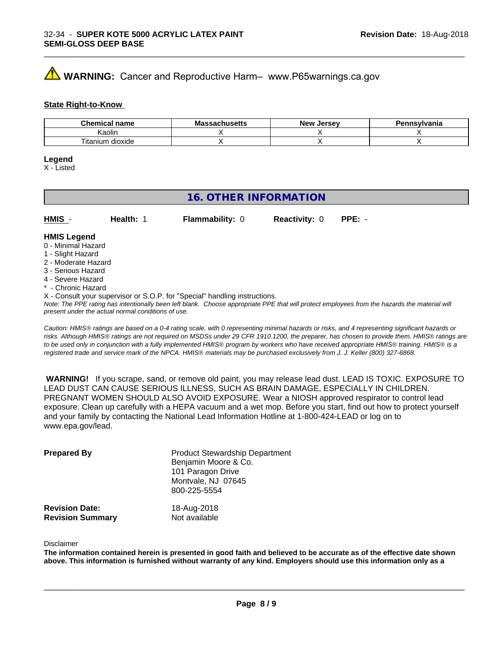## **AVIMARNING:** Cancer and Reproductive Harm– www.P65warnings.ca.gov

#### **State Right-to-Know**

| Chemic.<br>name<br>еннсаг               | <b>NIC</b><br>របាល១ចលេ | <b>Jerse</b> v<br><b>Nev</b> | าทรงIvania |
|-----------------------------------------|------------------------|------------------------------|------------|
| Kaolin                                  |                        |                              |            |
| $- \cdot$<br><br>dioxide<br>itani<br>um |                        |                              |            |

\_\_\_\_\_\_\_\_\_\_\_\_\_\_\_\_\_\_\_\_\_\_\_\_\_\_\_\_\_\_\_\_\_\_\_\_\_\_\_\_\_\_\_\_\_\_\_\_\_\_\_\_\_\_\_\_\_\_\_\_\_\_\_\_\_\_\_\_\_\_\_\_\_\_\_\_\_\_\_\_\_\_\_\_\_\_\_\_\_\_\_\_\_

#### **Legend**

X - Listed

## **16. OTHER INFORMATION**

| HMIS               | Health: | <b>Flammability: 0</b> | <b>Reactivity: 0</b> | $PPE: -$ |  |
|--------------------|---------|------------------------|----------------------|----------|--|
| <b>HMIS Legend</b> |         |                        |                      |          |  |

#### 0 - Minimal Hazard

- 1 Slight Hazard
- 2 Moderate Hazard
- 3 Serious Hazard
- 4 Severe Hazard
- \* Chronic Hazard
- X Consult your supervisor or S.O.P. for "Special" handling instructions.

*Note: The PPE rating has intentionally been left blank. Choose appropriate PPE that will protect employees from the hazards the material will present under the actual normal conditions of use.*

*Caution: HMISÒ ratings are based on a 0-4 rating scale, with 0 representing minimal hazards or risks, and 4 representing significant hazards or risks. Although HMISÒ ratings are not required on MSDSs under 29 CFR 1910.1200, the preparer, has chosen to provide them. HMISÒ ratings are to be used only in conjunction with a fully implemented HMISÒ program by workers who have received appropriate HMISÒ training. HMISÒ is a registered trade and service mark of the NPCA. HMISÒ materials may be purchased exclusively from J. J. Keller (800) 327-6868.*

 **WARNING!** If you scrape, sand, or remove old paint, you may release lead dust. LEAD IS TOXIC. EXPOSURE TO LEAD DUST CAN CAUSE SERIOUS ILLNESS, SUCH AS BRAIN DAMAGE, ESPECIALLY IN CHILDREN. PREGNANT WOMEN SHOULD ALSO AVOID EXPOSURE.Wear a NIOSH approved respirator to control lead exposure. Clean up carefully with a HEPA vacuum and a wet mop. Before you start, find out how to protect yourself and your family by contacting the National Lead Information Hotline at 1-800-424-LEAD or log on to www.epa.gov/lead.

| <b>Prepared By</b>                               | <b>Product Stewardship Department</b><br>Benjamin Moore & Co.<br>101 Paragon Drive<br>Montvale, NJ 07645<br>800-225-5554 |  |
|--------------------------------------------------|--------------------------------------------------------------------------------------------------------------------------|--|
| <b>Revision Date:</b><br><b>Revision Summary</b> | 18-Aug-2018<br>Not available                                                                                             |  |

#### Disclaimer

The information contained herein is presented in good faith and believed to be accurate as of the effective date shown above. This information is furnished without warranty of any kind. Employers should use this information only as a